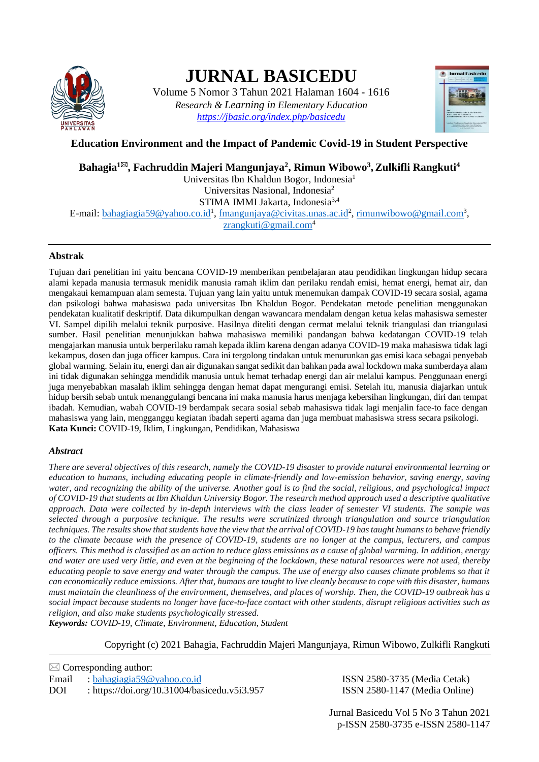

# **JURNAL BASICEDU**

Volume 5 Nomor 3 Tahun 2021 Halaman 1604 - 1616 *Research & Learning in Elementary Education <https://jbasic.org/index.php/basicedu>*



## **Education Environment and the Impact of Pandemic Covid-19 in Student Perspective**

# **Bahagia<sup>1</sup>, Fachruddin Majeri Mangunjaya<sup>2</sup> , Rimun Wibowo<sup>3</sup> ,Zulkifli Rangkuti<sup>4</sup>**

Universitas Ibn Khaldun Bogor, Indonesia<sup>1</sup> Universitas Nasional, Indonesia<sup>2</sup>

STIMA IMMI Jakarta, Indonesia<sup>3,4</sup>

E-mail: <u>bahagiagia59@yahoo.co.id<sup>1</sup>[, fmangunjaya@civitas.unas.ac.id](mailto:fmangunjaya@civitas.unas.ac.id)<sup>2</sup>[, rimunwibowo@gmail.com](mailto:rimunwibowo@gmail.com)<sup>3</sup>,</u> [zrangkuti@gmail.com](mailto:zrangkuti@gmail.com)<sup>4</sup>

## **Abstrak**

Tujuan dari penelitian ini yaitu bencana COVID-19 memberikan pembelajaran atau pendidikan lingkungan hidup secara alami kepada manusia termasuk menidik manusia ramah iklim dan perilaku rendah emisi, hemat energi, hemat air, dan mengakaui kemampuan alam semesta. Tujuan yang lain yaitu untuk menemukan dampak COVID-19 secara sosial, agama dan psikologi bahwa mahasiswa pada universitas Ibn Khaldun Bogor. Pendekatan metode penelitian menggunakan pendekatan kualitatif deskriptif. Data dikumpulkan dengan wawancara mendalam dengan ketua kelas mahasiswa semester VI. Sampel dipilih melalui teknik purposive. Hasilnya diteliti dengan cermat melalui teknik triangulasi dan triangulasi sumber. Hasil penelitian menunjukkan bahwa mahasiswa memiliki pandangan bahwa kedatangan COVID-19 telah mengajarkan manusia untuk berperilaku ramah kepada iklim karena dengan adanya COVID-19 maka mahasiswa tidak lagi kekampus, dosen dan juga officer kampus. Cara ini tergolong tindakan untuk menurunkan gas emisi kaca sebagai penyebab global warming. Selain itu, energi dan air digunakan sangat sedikit dan bahkan pada awal lockdown maka sumberdaya alam ini tidak digunakan sehingga mendidik manusia untuk hemat terhadap energi dan air melalui kampus. Penggunaan energi juga menyebabkan masalah iklim sehingga dengan hemat dapat mengurangi emisi. Setelah itu, manusia diajarkan untuk hidup bersih sebab untuk menanggulangi bencana ini maka manusia harus menjaga kebersihan lingkungan, diri dan tempat ibadah. Kemudian, wabah COVID-19 berdampak secara sosial sebab mahasiswa tidak lagi menjalin face-to face dengan mahasiswa yang lain, mengganggu kegiatan ibadah seperti agama dan juga membuat mahasiswa stress secara psikologi. **Kata Kunci:** COVID-19, Iklim, Lingkungan, Pendidikan, Mahasiswa

### *Abstract*

*There are several objectives of this research, namely the COVID-19 disaster to provide natural environmental learning or education to humans, including educating people in climate-friendly and low-emission behavior, saving energy, saving water, and recognizing the ability of the universe. Another goal is to find the social, religious, and psychological impact of COVID-19 that students at Ibn Khaldun University Bogor. The research method approach used a descriptive qualitative approach. Data were collected by in-depth interviews with the class leader of semester VI students. The sample was selected through a purposive technique. The results were scrutinized through triangulation and source triangulation techniques. The results show that students have the view that the arrival of COVID-19 has taught humans to behave friendly to the climate because with the presence of COVID-19, students are no longer at the campus, lecturers, and campus officers. This method is classified as an action to reduce glass emissions as a cause of global warming. In addition, energy and water are used very little, and even at the beginning of the lockdown, these natural resources were not used, thereby educating people to save energy and water through the campus. The use of energy also causes climate problems so that it can economically reduce emissions. After that, humans are taught to live cleanly because to cope with this disaster, humans must maintain the cleanliness of the environment, themselves, and places of worship. Then, the COVID-19 outbreak has a social impact because students no longer have face-to-face contact with other students, disrupt religious activities such as religion, and also make students psychologically stressed.*

*Keywords: COVID-19, Climate, Environment, Education, Student*

Copyright (c) 2021 Bahagia, Fachruddin Majeri Mangunjaya, Rimun Wibowo, Zulkifli Rangkuti

 $\boxtimes$  Corresponding author: Email : [bahagiagia59@yahoo.co.id](mailto:bahagiagia59@yahoo.co.id) ISSN 2580-3735 (Media Cetak) DOI :<https://doi.org/10.31004/basicedu.v5i3.957> ISSN 2580-1147 (Media Online)

Jurnal Basicedu Vol 5 No 3 Tahun 2021 p-ISSN 2580-3735 e-ISSN 2580-1147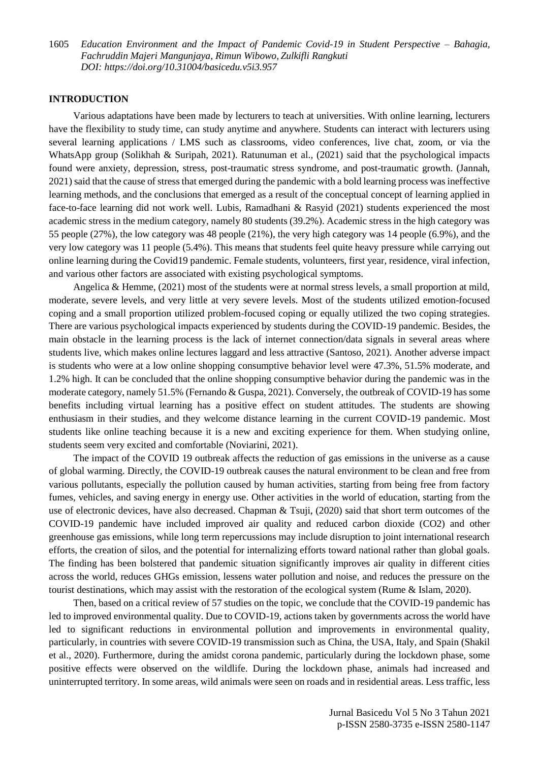#### **INTRODUCTION**

Various adaptations have been made by lecturers to teach at universities. With online learning, lecturers have the flexibility to study time, can study anytime and anywhere. Students can interact with lecturers using several learning applications / LMS such as classrooms, video conferences, live chat, zoom, or via the WhatsApp group (Solikhah & Suripah, 2021). Ratunuman et al., (2021) said that the psychological impacts found were anxiety, depression, stress, post-traumatic stress syndrome, and post-traumatic growth. (Jannah, 2021) said that the cause of stress that emerged during the pandemic with a bold learning process was ineffective learning methods, and the conclusions that emerged as a result of the conceptual concept of learning applied in face-to-face learning did not work well. Lubis, Ramadhani & Rasyid (2021) students experienced the most academic stress in the medium category, namely 80 students (39.2%). Academic stress in the high category was 55 people (27%), the low category was 48 people (21%), the very high category was 14 people (6.9%), and the very low category was 11 people (5.4%). This means that students feel quite heavy pressure while carrying out online learning during the Covid19 pandemic. Female students, volunteers, first year, residence, viral infection, and various other factors are associated with existing psychological symptoms.

Angelica & Hemme, (2021) most of the students were at normal stress levels, a small proportion at mild, moderate, severe levels, and very little at very severe levels. Most of the students utilized emotion-focused coping and a small proportion utilized problem-focused coping or equally utilized the two coping strategies. There are various psychological impacts experienced by students during the COVID-19 pandemic. Besides, the main obstacle in the learning process is the lack of internet connection/data signals in several areas where students live, which makes online lectures laggard and less attractive (Santoso, 2021). Another adverse impact is students who were at a low online shopping consumptive behavior level were 47.3%, 51.5% moderate, and 1.2% high. It can be concluded that the online shopping consumptive behavior during the pandemic was in the moderate category, namely 51.5% (Fernando & Guspa, 2021). Conversely, the outbreak of COVID-19 has some benefits including virtual learning has a positive effect on student attitudes. The students are showing enthusiasm in their studies, and they welcome distance learning in the current COVID-19 pandemic. Most students like online teaching because it is a new and exciting experience for them. When studying online, students seem very excited and comfortable (Noviarini, 2021).

The impact of the COVID 19 outbreak affects the reduction of gas emissions in the universe as a cause of global warming. Directly, the COVID-19 outbreak causes the natural environment to be clean and free from various pollutants, especially the pollution caused by human activities, starting from being free from factory fumes, vehicles, and saving energy in energy use. Other activities in the world of education, starting from the use of electronic devices, have also decreased. Chapman & Tsuji, (2020) said that short term outcomes of the COVID-19 pandemic have included improved air quality and reduced carbon dioxide (CO2) and other greenhouse gas emissions, while long term repercussions may include disruption to joint international research efforts, the creation of silos, and the potential for internalizing efforts toward national rather than global goals. The finding has been bolstered that pandemic situation significantly improves air quality in different cities across the world, reduces GHGs emission, lessens water pollution and noise, and reduces the pressure on the tourist destinations, which may assist with the restoration of the ecological system (Rume & Islam, 2020).

Then, based on a critical review of 57 studies on the topic, we conclude that the COVID-19 pandemic has led to improved environmental quality. Due to COVID-19, actions taken by governments across the world have led to significant reductions in environmental pollution and improvements in environmental quality, particularly, in countries with severe COVID-19 transmission such as China, the USA, Italy, and Spain (Shakil et al., 2020). Furthermore, during the amidst corona pandemic, particularly during the lockdown phase, some positive effects were observed on the wildlife. During the lockdown phase, animals had increased and uninterrupted territory. In some areas, wild animals were seen on roads and in residential areas. Less traffic, less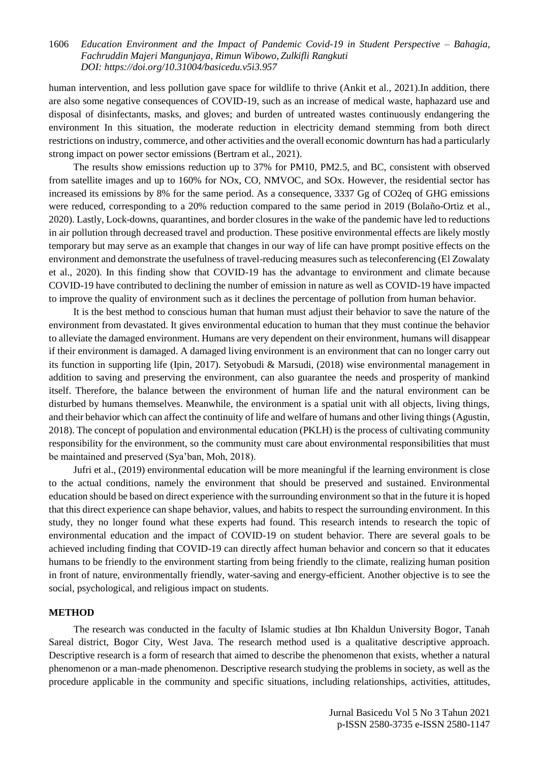human intervention, and less pollution gave space for wildlife to thrive (Ankit et al., 2021).In addition, there are also some negative consequences of COVID-19, such as an increase of medical waste, haphazard use and disposal of disinfectants, masks, and gloves; and burden of untreated wastes continuously endangering the environment In this situation, the moderate reduction in electricity demand stemming from both direct restrictions on industry, commerce, and other activities and the overall economic downturn has had a particularly strong impact on power sector emissions (Bertram et al., 2021).

The results show emissions reduction up to 37% for PM10, PM2.5, and BC, consistent with observed from satellite images and up to 160% for NOx, CO, NMVOC, and SOx. However, the residential sector has increased its emissions by 8% for the same period. As a consequence, 3337 Gg of CO2eq of GHG emissions were reduced, corresponding to a 20% reduction compared to the same period in 2019 (Bolaño-Ortiz et al., 2020). Lastly, Lock-downs, quarantines, and border closures in the wake of the pandemic have led to reductions in air pollution through decreased travel and production. These positive environmental effects are likely mostly temporary but may serve as an example that changes in our way of life can have prompt positive effects on the environment and demonstrate the usefulness of travel-reducing measures such as teleconferencing (El Zowalaty et al., 2020). In this finding show that COVID-19 has the advantage to environment and climate because COVID-19 have contributed to declining the number of emission in nature as well as COVID-19 have impacted to improve the quality of environment such as it declines the percentage of pollution from human behavior.

It is the best method to conscious human that human must adjust their behavior to save the nature of the environment from devastated. It gives environmental education to human that they must continue the behavior to alleviate the damaged environment. Humans are very dependent on their environment, humans will disappear if their environment is damaged. A damaged living environment is an environment that can no longer carry out its function in supporting life (Ipin, 2017). Setyobudi & Marsudi, (2018) wise environmental management in addition to saving and preserving the environment, can also guarantee the needs and prosperity of mankind itself. Therefore, the balance between the environment of human life and the natural environment can be disturbed by humans themselves. Meanwhile, the environment is a spatial unit with all objects, living things, and their behavior which can affect the continuity of life and welfare of humans and other living things (Agustin, 2018). The concept of population and environmental education (PKLH) is the process of cultivating community responsibility for the environment, so the community must care about environmental responsibilities that must be maintained and preserved (Sya'ban, Moh, 2018).

Jufri et al., (2019) environmental education will be more meaningful if the learning environment is close to the actual conditions, namely the environment that should be preserved and sustained. Environmental education should be based on direct experience with the surrounding environment so that in the future it is hoped that this direct experience can shape behavior, values, and habits to respect the surrounding environment. In this study, they no longer found what these experts had found. This research intends to research the topic of environmental education and the impact of COVID-19 on student behavior. There are several goals to be achieved including finding that COVID-19 can directly affect human behavior and concern so that it educates humans to be friendly to the environment starting from being friendly to the climate, realizing human position in front of nature, environmentally friendly, water-saving and energy-efficient. Another objective is to see the social, psychological, and religious impact on students.

### **METHOD**

The research was conducted in the faculty of Islamic studies at Ibn Khaldun University Bogor, Tanah Sareal district, Bogor City, West Java. The research method used is a qualitative descriptive approach. Descriptive research is a form of research that aimed to describe the phenomenon that exists, whether a natural phenomenon or a man-made phenomenon. Descriptive research studying the problems in society, as well as the procedure applicable in the community and specific situations, including relationships, activities, attitudes,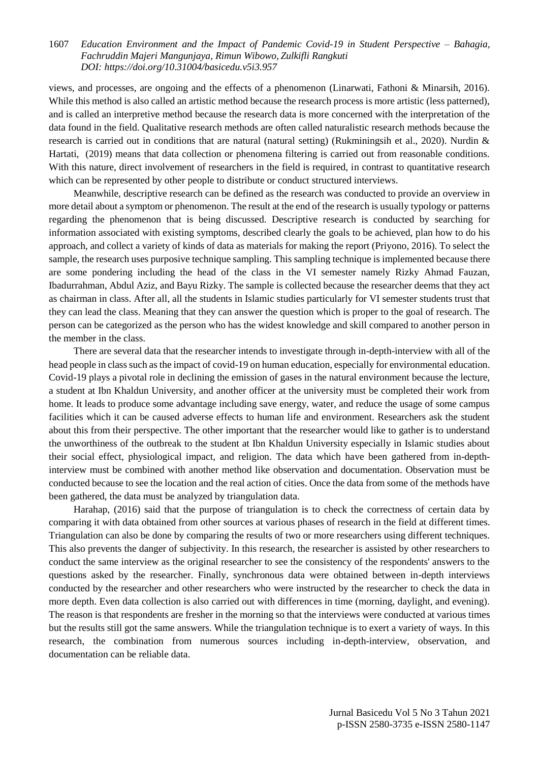views, and processes, are ongoing and the effects of a phenomenon (Linarwati, Fathoni & Minarsih, 2016). While this method is also called an artistic method because the research process is more artistic (less patterned), and is called an interpretive method because the research data is more concerned with the interpretation of the data found in the field. Qualitative research methods are often called naturalistic research methods because the research is carried out in conditions that are natural (natural setting) (Rukminingsih et al., 2020). Nurdin & Hartati, (2019) means that data collection or phenomena filtering is carried out from reasonable conditions. With this nature, direct involvement of researchers in the field is required, in contrast to quantitative research which can be represented by other people to distribute or conduct structured interviews.

Meanwhile, descriptive research can be defined as the research was conducted to provide an overview in more detail about a symptom or phenomenon. The result at the end of the research is usually typology or patterns regarding the phenomenon that is being discussed. Descriptive research is conducted by searching for information associated with existing symptoms, described clearly the goals to be achieved, plan how to do his approach, and collect a variety of kinds of data as materials for making the report (Priyono, 2016). To select the sample, the research uses purposive technique sampling. This sampling technique is implemented because there are some pondering including the head of the class in the VI semester namely Rizky Ahmad Fauzan, Ibadurrahman, Abdul Aziz, and Bayu Rizky. The sample is collected because the researcher deems that they act as chairman in class. After all, all the students in Islamic studies particularly for VI semester students trust that they can lead the class. Meaning that they can answer the question which is proper to the goal of research. The person can be categorized as the person who has the widest knowledge and skill compared to another person in the member in the class.

There are several data that the researcher intends to investigate through in-depth-interview with all of the head people in class such as the impact of covid-19 on human education, especially for environmental education. Covid-19 plays a pivotal role in declining the emission of gases in the natural environment because the lecture, a student at Ibn Khaldun University, and another officer at the university must be completed their work from home. It leads to produce some advantage including save energy, water, and reduce the usage of some campus facilities which it can be caused adverse effects to human life and environment. Researchers ask the student about this from their perspective. The other important that the researcher would like to gather is to understand the unworthiness of the outbreak to the student at Ibn Khaldun University especially in Islamic studies about their social effect, physiological impact, and religion. The data which have been gathered from in-depthinterview must be combined with another method like observation and documentation. Observation must be conducted because to see the location and the real action of cities. Once the data from some of the methods have been gathered, the data must be analyzed by triangulation data.

Harahap, (2016) said that the purpose of triangulation is to check the correctness of certain data by comparing it with data obtained from other sources at various phases of research in the field at different times. Triangulation can also be done by comparing the results of two or more researchers using different techniques. This also prevents the danger of subjectivity. In this research, the researcher is assisted by other researchers to conduct the same interview as the original researcher to see the consistency of the respondents' answers to the questions asked by the researcher. Finally, synchronous data were obtained between in-depth interviews conducted by the researcher and other researchers who were instructed by the researcher to check the data in more depth. Even data collection is also carried out with differences in time (morning, daylight, and evening). The reason is that respondents are fresher in the morning so that the interviews were conducted at various times but the results still got the same answers. While the triangulation technique is to exert a variety of ways. In this research, the combination from numerous sources including in-depth-interview, observation, and documentation can be reliable data.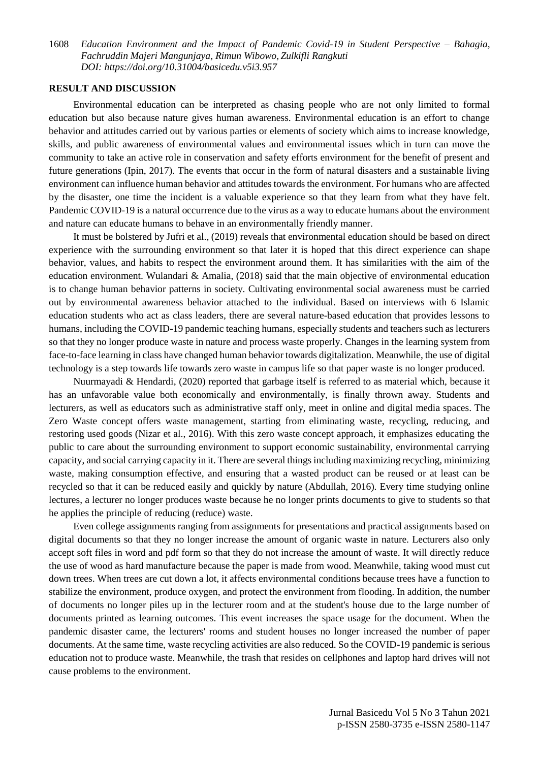#### **RESULT AND DISCUSSION**

Environmental education can be interpreted as chasing people who are not only limited to formal education but also because nature gives human awareness. Environmental education is an effort to change behavior and attitudes carried out by various parties or elements of society which aims to increase knowledge, skills, and public awareness of environmental values and environmental issues which in turn can move the community to take an active role in conservation and safety efforts environment for the benefit of present and future generations (Ipin, 2017). The events that occur in the form of natural disasters and a sustainable living environment can influence human behavior and attitudes towards the environment. For humans who are affected by the disaster, one time the incident is a valuable experience so that they learn from what they have felt. Pandemic COVID-19 is a natural occurrence due to the virus as a way to educate humans about the environment and nature can educate humans to behave in an environmentally friendly manner.

It must be bolstered by Jufri et al., (2019) reveals that environmental education should be based on direct experience with the surrounding environment so that later it is hoped that this direct experience can shape behavior, values, and habits to respect the environment around them. It has similarities with the aim of the education environment. Wulandari & Amalia, (2018) said that the main objective of environmental education is to change human behavior patterns in society. Cultivating environmental social awareness must be carried out by environmental awareness behavior attached to the individual. Based on interviews with 6 Islamic education students who act as class leaders, there are several nature-based education that provides lessons to humans, including the COVID-19 pandemic teaching humans, especially students and teachers such as lecturers so that they no longer produce waste in nature and process waste properly. Changes in the learning system from face-to-face learning in class have changed human behavior towards digitalization. Meanwhile, the use of digital technology is a step towards life towards zero waste in campus life so that paper waste is no longer produced.

Nuurmayadi & Hendardi, (2020) reported that garbage itself is referred to as material which, because it has an unfavorable value both economically and environmentally, is finally thrown away. Students and lecturers, as well as educators such as administrative staff only, meet in online and digital media spaces. The Zero Waste concept offers waste management, starting from eliminating waste, recycling, reducing, and restoring used goods (Nizar et al., 2016). With this zero waste concept approach, it emphasizes educating the public to care about the surrounding environment to support economic sustainability, environmental carrying capacity, and social carrying capacity in it. There are several things including maximizing recycling, minimizing waste, making consumption effective, and ensuring that a wasted product can be reused or at least can be recycled so that it can be reduced easily and quickly by nature (Abdullah, 2016). Every time studying online lectures, a lecturer no longer produces waste because he no longer prints documents to give to students so that he applies the principle of reducing (reduce) waste.

Even college assignments ranging from assignments for presentations and practical assignments based on digital documents so that they no longer increase the amount of organic waste in nature. Lecturers also only accept soft files in word and pdf form so that they do not increase the amount of waste. It will directly reduce the use of wood as hard manufacture because the paper is made from wood. Meanwhile, taking wood must cut down trees. When trees are cut down a lot, it affects environmental conditions because trees have a function to stabilize the environment, produce oxygen, and protect the environment from flooding. In addition, the number of documents no longer piles up in the lecturer room and at the student's house due to the large number of documents printed as learning outcomes. This event increases the space usage for the document. When the pandemic disaster came, the lecturers' rooms and student houses no longer increased the number of paper documents. At the same time, waste recycling activities are also reduced. So the COVID-19 pandemic is serious education not to produce waste. Meanwhile, the trash that resides on cellphones and laptop hard drives will not cause problems to the environment.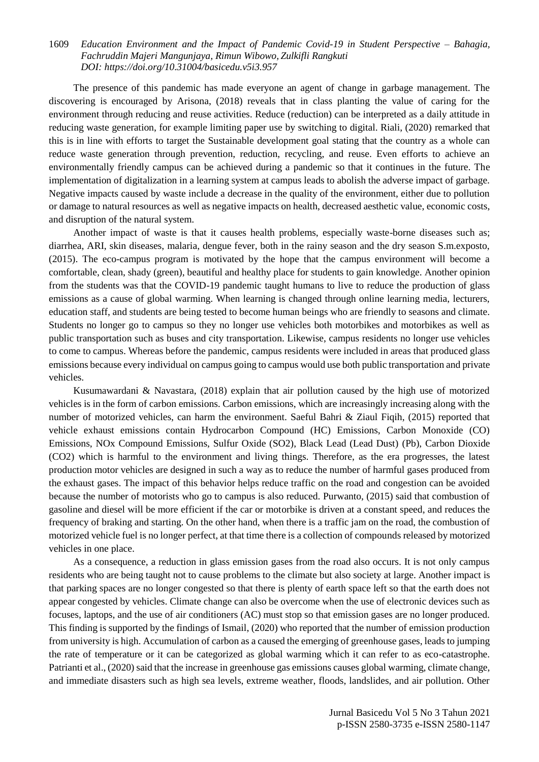The presence of this pandemic has made everyone an agent of change in garbage management. The discovering is encouraged by Arisona, (2018) reveals that in class planting the value of caring for the environment through reducing and reuse activities. Reduce (reduction) can be interpreted as a daily attitude in reducing waste generation, for example limiting paper use by switching to digital. Riali, (2020) remarked that this is in line with efforts to target the Sustainable development goal stating that the country as a whole can reduce waste generation through prevention, reduction, recycling, and reuse. Even efforts to achieve an environmentally friendly campus can be achieved during a pandemic so that it continues in the future. The implementation of digitalization in a learning system at campus leads to abolish the adverse impact of garbage. Negative impacts caused by waste include a decrease in the quality of the environment, either due to pollution or damage to natural resources as well as negative impacts on health, decreased aesthetic value, economic costs, and disruption of the natural system.

Another impact of waste is that it causes health problems, especially waste-borne diseases such as; diarrhea, ARI, skin diseases, malaria, dengue fever, both in the rainy season and the dry season S.m.exposto, (2015). The eco-campus program is motivated by the hope that the campus environment will become a comfortable, clean, shady (green), beautiful and healthy place for students to gain knowledge. Another opinion from the students was that the COVID-19 pandemic taught humans to live to reduce the production of glass emissions as a cause of global warming. When learning is changed through online learning media, lecturers, education staff, and students are being tested to become human beings who are friendly to seasons and climate. Students no longer go to campus so they no longer use vehicles both motorbikes and motorbikes as well as public transportation such as buses and city transportation. Likewise, campus residents no longer use vehicles to come to campus. Whereas before the pandemic, campus residents were included in areas that produced glass emissions because every individual on campus going to campus would use both public transportation and private vehicles.

Kusumawardani & Navastara, (2018) explain that air pollution caused by the high use of motorized vehicles is in the form of carbon emissions. Carbon emissions, which are increasingly increasing along with the number of motorized vehicles, can harm the environment. Saeful Bahri & Ziaul Fiqih, (2015) reported that vehicle exhaust emissions contain Hydrocarbon Compound (HC) Emissions, Carbon Monoxide (CO) Emissions, NOx Compound Emissions, Sulfur Oxide (SO2), Black Lead (Lead Dust) (Pb), Carbon Dioxide (CO2) which is harmful to the environment and living things. Therefore, as the era progresses, the latest production motor vehicles are designed in such a way as to reduce the number of harmful gases produced from the exhaust gases. The impact of this behavior helps reduce traffic on the road and congestion can be avoided because the number of motorists who go to campus is also reduced. Purwanto, (2015) said that combustion of gasoline and diesel will be more efficient if the car or motorbike is driven at a constant speed, and reduces the frequency of braking and starting. On the other hand, when there is a traffic jam on the road, the combustion of motorized vehicle fuel is no longer perfect, at that time there is a collection of compounds released by motorized vehicles in one place.

As a consequence, a reduction in glass emission gases from the road also occurs. It is not only campus residents who are being taught not to cause problems to the climate but also society at large. Another impact is that parking spaces are no longer congested so that there is plenty of earth space left so that the earth does not appear congested by vehicles. Climate change can also be overcome when the use of electronic devices such as focuses, laptops, and the use of air conditioners (AC) must stop so that emission gases are no longer produced. This finding is supported by the findings of Ismail, (2020) who reported that the number of emission production from university is high. Accumulation of carbon as a caused the emerging of greenhouse gases, leads to jumping the rate of temperature or it can be categorized as global warming which it can refer to as eco-catastrophe. Patrianti et al., (2020) said that the increase in greenhouse gas emissions causes global warming, climate change, and immediate disasters such as high sea levels, extreme weather, floods, landslides, and air pollution. Other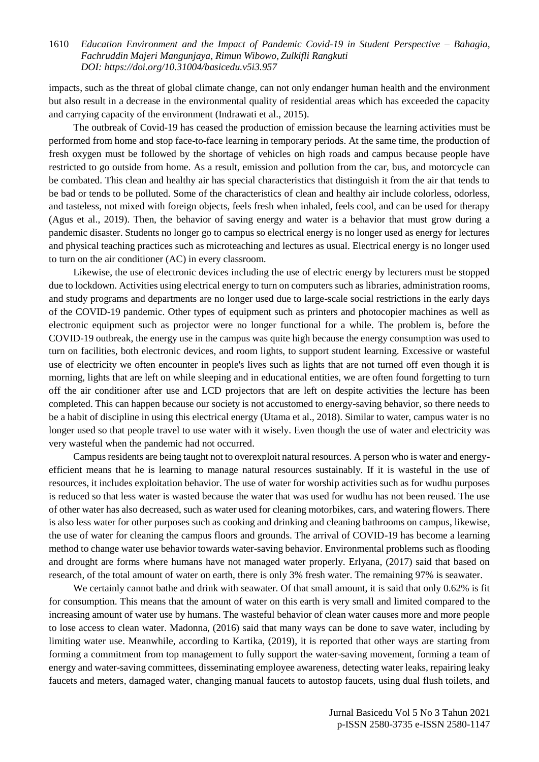impacts, such as the threat of global climate change, can not only endanger human health and the environment but also result in a decrease in the environmental quality of residential areas which has exceeded the capacity and carrying capacity of the environment (Indrawati et al., 2015).

The outbreak of Covid-19 has ceased the production of emission because the learning activities must be performed from home and stop face-to-face learning in temporary periods. At the same time, the production of fresh oxygen must be followed by the shortage of vehicles on high roads and campus because people have restricted to go outside from home. As a result, emission and pollution from the car, bus, and motorcycle can be combated. This clean and healthy air has special characteristics that distinguish it from the air that tends to be bad or tends to be polluted. Some of the characteristics of clean and healthy air include colorless, odorless, and tasteless, not mixed with foreign objects, feels fresh when inhaled, feels cool, and can be used for therapy (Agus et al., 2019). Then, the behavior of saving energy and water is a behavior that must grow during a pandemic disaster. Students no longer go to campus so electrical energy is no longer used as energy for lectures and physical teaching practices such as microteaching and lectures as usual. Electrical energy is no longer used to turn on the air conditioner (AC) in every classroom.

Likewise, the use of electronic devices including the use of electric energy by lecturers must be stopped due to lockdown. Activities using electrical energy to turn on computers such as libraries, administration rooms, and study programs and departments are no longer used due to large-scale social restrictions in the early days of the COVID-19 pandemic. Other types of equipment such as printers and photocopier machines as well as electronic equipment such as projector were no longer functional for a while. The problem is, before the COVID-19 outbreak, the energy use in the campus was quite high because the energy consumption was used to turn on facilities, both electronic devices, and room lights, to support student learning. Excessive or wasteful use of electricity we often encounter in people's lives such as lights that are not turned off even though it is morning, lights that are left on while sleeping and in educational entities, we are often found forgetting to turn off the air conditioner after use and LCD projectors that are left on despite activities the lecture has been completed. This can happen because our society is not accustomed to energy-saving behavior, so there needs to be a habit of discipline in using this electrical energy (Utama et al., 2018). Similar to water, campus water is no longer used so that people travel to use water with it wisely. Even though the use of water and electricity was very wasteful when the pandemic had not occurred.

Campus residents are being taught not to overexploit natural resources. A person who is water and energyefficient means that he is learning to manage natural resources sustainably. If it is wasteful in the use of resources, it includes exploitation behavior. The use of water for worship activities such as for wudhu purposes is reduced so that less water is wasted because the water that was used for wudhu has not been reused. The use of other water has also decreased, such as water used for cleaning motorbikes, cars, and watering flowers. There is also less water for other purposes such as cooking and drinking and cleaning bathrooms on campus, likewise, the use of water for cleaning the campus floors and grounds. The arrival of COVID-19 has become a learning method to change water use behavior towards water-saving behavior. Environmental problems such as flooding and drought are forms where humans have not managed water properly. Erlyana, (2017) said that based on research, of the total amount of water on earth, there is only 3% fresh water. The remaining 97% is seawater.

We certainly cannot bathe and drink with seawater. Of that small amount, it is said that only 0.62% is fit for consumption. This means that the amount of water on this earth is very small and limited compared to the increasing amount of water use by humans. The wasteful behavior of clean water causes more and more people to lose access to clean water. Madonna, (2016) said that many ways can be done to save water, including by limiting water use. Meanwhile, according to Kartika, (2019), it is reported that other ways are starting from forming a commitment from top management to fully support the water-saving movement, forming a team of energy and water-saving committees, disseminating employee awareness, detecting water leaks, repairing leaky faucets and meters, damaged water, changing manual faucets to autostop faucets, using dual flush toilets, and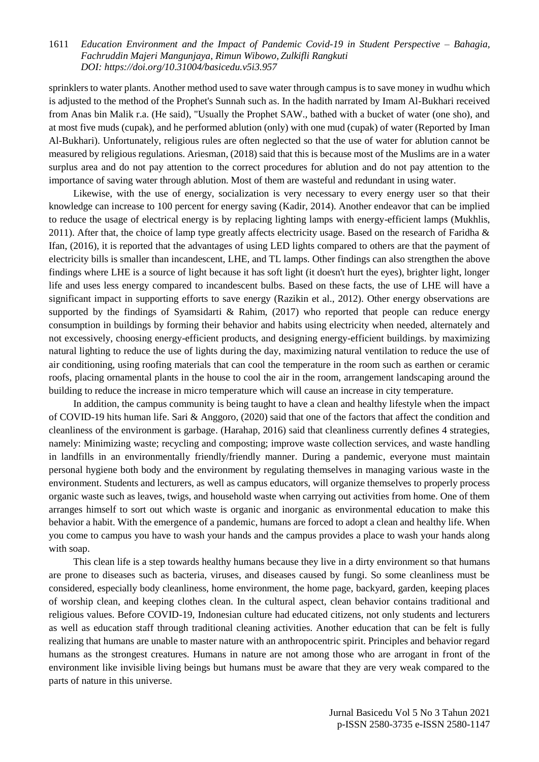sprinklers to water plants. Another method used to save water through campus is to save money in wudhu which is adjusted to the method of the Prophet's Sunnah such as. In the hadith narrated by Imam Al-Bukhari received from Anas bin Malik r.a. (He said), "Usually the Prophet SAW., bathed with a bucket of water (one sho), and at most five muds (cupak), and he performed ablution (only) with one mud (cupak) of water (Reported by Iman Al-Bukhari). Unfortunately, religious rules are often neglected so that the use of water for ablution cannot be measured by religious regulations. Ariesman, (2018) said that this is because most of the Muslims are in a water surplus area and do not pay attention to the correct procedures for ablution and do not pay attention to the importance of saving water through ablution. Most of them are wasteful and redundant in using water.

Likewise, with the use of energy, socialization is very necessary to every energy user so that their knowledge can increase to 100 percent for energy saving (Kadir, 2014). Another endeavor that can be implied to reduce the usage of electrical energy is by replacing lighting lamps with energy-efficient lamps (Mukhlis, 2011). After that, the choice of lamp type greatly affects electricity usage. Based on the research of Faridha  $\&$ Ifan, (2016), it is reported that the advantages of using LED lights compared to others are that the payment of electricity bills is smaller than incandescent, LHE, and TL lamps. Other findings can also strengthen the above findings where LHE is a source of light because it has soft light (it doesn't hurt the eyes), brighter light, longer life and uses less energy compared to incandescent bulbs. Based on these facts, the use of LHE will have a significant impact in supporting efforts to save energy (Razikin et al., 2012). Other energy observations are supported by the findings of Syamsidarti & Rahim, (2017) who reported that people can reduce energy consumption in buildings by forming their behavior and habits using electricity when needed, alternately and not excessively, choosing energy-efficient products, and designing energy-efficient buildings. by maximizing natural lighting to reduce the use of lights during the day, maximizing natural ventilation to reduce the use of air conditioning, using roofing materials that can cool the temperature in the room such as earthen or ceramic roofs, placing ornamental plants in the house to cool the air in the room, arrangement landscaping around the building to reduce the increase in micro temperature which will cause an increase in city temperature.

In addition, the campus community is being taught to have a clean and healthy lifestyle when the impact of COVID-19 hits human life. Sari & Anggoro, (2020) said that one of the factors that affect the condition and cleanliness of the environment is garbage. (Harahap, 2016) said that cleanliness currently defines 4 strategies, namely: Minimizing waste; recycling and composting; improve waste collection services, and waste handling in landfills in an environmentally friendly/friendly manner. During a pandemic, everyone must maintain personal hygiene both body and the environment by regulating themselves in managing various waste in the environment. Students and lecturers, as well as campus educators, will organize themselves to properly process organic waste such as leaves, twigs, and household waste when carrying out activities from home. One of them arranges himself to sort out which waste is organic and inorganic as environmental education to make this behavior a habit. With the emergence of a pandemic, humans are forced to adopt a clean and healthy life. When you come to campus you have to wash your hands and the campus provides a place to wash your hands along with soap.

This clean life is a step towards healthy humans because they live in a dirty environment so that humans are prone to diseases such as bacteria, viruses, and diseases caused by fungi. So some cleanliness must be considered, especially body cleanliness, home environment, the home page, backyard, garden, keeping places of worship clean, and keeping clothes clean. In the cultural aspect, clean behavior contains traditional and religious values. Before COVID-19, Indonesian culture had educated citizens, not only students and lecturers as well as education staff through traditional cleaning activities. Another education that can be felt is fully realizing that humans are unable to master nature with an anthropocentric spirit. Principles and behavior regard humans as the strongest creatures. Humans in nature are not among those who are arrogant in front of the environment like invisible living beings but humans must be aware that they are very weak compared to the parts of nature in this universe.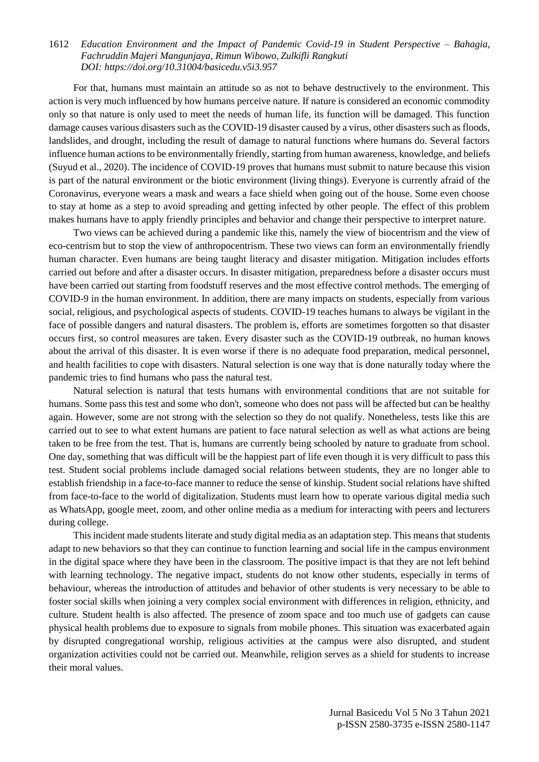For that, humans must maintain an attitude so as not to behave destructively to the environment. This action is very much influenced by how humans perceive nature. If nature is considered an economic commodity only so that nature is only used to meet the needs of human life, its function will be damaged. This function damage causes various disasters such as the COVID-19 disaster caused by a virus, other disasters such as floods, landslides, and drought, including the result of damage to natural functions where humans do. Several factors influence human actions to be environmentally friendly, starting from human awareness, knowledge, and beliefs (Suyud et al., 2020). The incidence of COVID-19 proves that humans must submit to nature because this vision is part of the natural environment or the biotic environment (living things). Everyone is currently afraid of the Coronavirus, everyone wears a mask and wears a face shield when going out of the house. Some even choose to stay at home as a step to avoid spreading and getting infected by other people. The effect of this problem makes humans have to apply friendly principles and behavior and change their perspective to interpret nature.

Two views can be achieved during a pandemic like this, namely the view of biocentrism and the view of eco-centrism but to stop the view of anthropocentrism. These two views can form an environmentally friendly human character. Even humans are being taught literacy and disaster mitigation. Mitigation includes efforts carried out before and after a disaster occurs. In disaster mitigation, preparedness before a disaster occurs must have been carried out starting from foodstuff reserves and the most effective control methods. The emerging of COVID-9 in the human environment. In addition, there are many impacts on students, especially from various social, religious, and psychological aspects of students. COVID-19 teaches humans to always be vigilant in the face of possible dangers and natural disasters. The problem is, efforts are sometimes forgotten so that disaster occurs first, so control measures are taken. Every disaster such as the COVID-19 outbreak, no human knows about the arrival of this disaster. It is even worse if there is no adequate food preparation, medical personnel, and health facilities to cope with disasters. Natural selection is one way that is done naturally today where the pandemic tries to find humans who pass the natural test.

Natural selection is natural that tests humans with environmental conditions that are not suitable for humans. Some pass this test and some who don't, someone who does not pass will be affected but can be healthy again. However, some are not strong with the selection so they do not qualify. Nonetheless, tests like this are carried out to see to what extent humans are patient to face natural selection as well as what actions are being taken to be free from the test. That is, humans are currently being schooled by nature to graduate from school. One day, something that was difficult will be the happiest part of life even though it is very difficult to pass this test. Student social problems include damaged social relations between students, they are no longer able to establish friendship in a face-to-face manner to reduce the sense of kinship. Student social relations have shifted from face-to-face to the world of digitalization. Students must learn how to operate various digital media such as WhatsApp, google meet, zoom, and other online media as a medium for interacting with peers and lecturers during college.

This incident made students literate and study digital media as an adaptation step. This means that students adapt to new behaviors so that they can continue to function learning and social life in the campus environment in the digital space where they have been in the classroom. The positive impact is that they are not left behind with learning technology. The negative impact, students do not know other students, especially in terms of behaviour, whereas the introduction of attitudes and behavior of other students is very necessary to be able to foster social skills when joining a very complex social environment with differences in religion, ethnicity, and culture. Student health is also affected. The presence of zoom space and too much use of gadgets can cause physical health problems due to exposure to signals from mobile phones. This situation was exacerbated again by disrupted congregational worship, religious activities at the campus were also disrupted, and student organization activities could not be carried out. Meanwhile, religion serves as a shield for students to increase their moral values.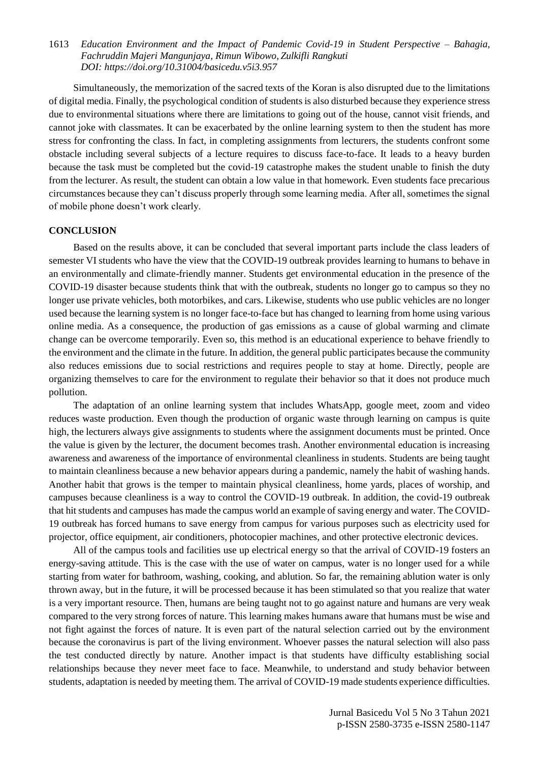Simultaneously, the memorization of the sacred texts of the Koran is also disrupted due to the limitations of digital media. Finally, the psychological condition of students is also disturbed because they experience stress due to environmental situations where there are limitations to going out of the house, cannot visit friends, and cannot joke with classmates. It can be exacerbated by the online learning system to then the student has more stress for confronting the class. In fact, in completing assignments from lecturers, the students confront some obstacle including several subjects of a lecture requires to discuss face-to-face. It leads to a heavy burden because the task must be completed but the covid-19 catastrophe makes the student unable to finish the duty from the lecturer. As result, the student can obtain a low value in that homework. Even students face precarious circumstances because they can't discuss properly through some learning media. After all, sometimes the signal of mobile phone doesn't work clearly.

#### **CONCLUSION**

Based on the results above, it can be concluded that several important parts include the class leaders of semester VI students who have the view that the COVID-19 outbreak provides learning to humans to behave in an environmentally and climate-friendly manner. Students get environmental education in the presence of the COVID-19 disaster because students think that with the outbreak, students no longer go to campus so they no longer use private vehicles, both motorbikes, and cars. Likewise, students who use public vehicles are no longer used because the learning system is no longer face-to-face but has changed to learning from home using various online media. As a consequence, the production of gas emissions as a cause of global warming and climate change can be overcome temporarily. Even so, this method is an educational experience to behave friendly to the environment and the climate in the future. In addition, the general public participates because the community also reduces emissions due to social restrictions and requires people to stay at home. Directly, people are organizing themselves to care for the environment to regulate their behavior so that it does not produce much pollution.

The adaptation of an online learning system that includes WhatsApp, google meet, zoom and video reduces waste production. Even though the production of organic waste through learning on campus is quite high, the lecturers always give assignments to students where the assignment documents must be printed. Once the value is given by the lecturer, the document becomes trash. Another environmental education is increasing awareness and awareness of the importance of environmental cleanliness in students. Students are being taught to maintain cleanliness because a new behavior appears during a pandemic, namely the habit of washing hands. Another habit that grows is the temper to maintain physical cleanliness, home yards, places of worship, and campuses because cleanliness is a way to control the COVID-19 outbreak. In addition, the covid-19 outbreak that hit students and campuses has made the campus world an example of saving energy and water. The COVID-19 outbreak has forced humans to save energy from campus for various purposes such as electricity used for projector, office equipment, air conditioners, photocopier machines, and other protective electronic devices.

All of the campus tools and facilities use up electrical energy so that the arrival of COVID-19 fosters an energy-saving attitude. This is the case with the use of water on campus, water is no longer used for a while starting from water for bathroom, washing, cooking, and ablution. So far, the remaining ablution water is only thrown away, but in the future, it will be processed because it has been stimulated so that you realize that water is a very important resource. Then, humans are being taught not to go against nature and humans are very weak compared to the very strong forces of nature. This learning makes humans aware that humans must be wise and not fight against the forces of nature. It is even part of the natural selection carried out by the environment because the coronavirus is part of the living environment. Whoever passes the natural selection will also pass the test conducted directly by nature. Another impact is that students have difficulty establishing social relationships because they never meet face to face. Meanwhile, to understand and study behavior between students, adaptation is needed by meeting them. The arrival of COVID-19 made students experience difficulties.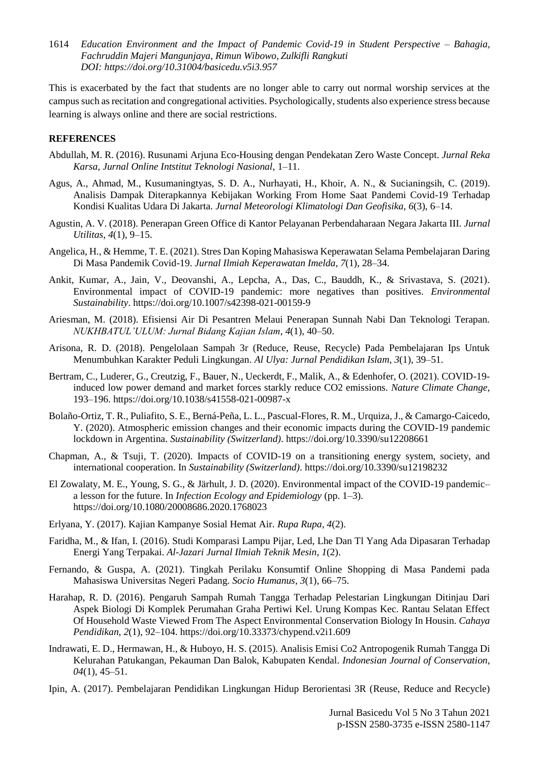This is exacerbated by the fact that students are no longer able to carry out normal worship services at the campus such as recitation and congregational activities. Psychologically, students also experience stress because learning is always online and there are social restrictions.

### **REFERENCES**

- Abdullah, M. R. (2016). Rusunami Arjuna Eco-Housing dengan Pendekatan Zero Waste Concept. *Jurnal Reka Karsa, Jurnal Online Intstitut Teknologi Nasional*, 1–11.
- Agus, A., Ahmad, M., Kusumaningtyas, S. D. A., Nurhayati, H., Khoir, A. N., & Sucianingsih, C. (2019). Analisis Dampak Diterapkannya Kebijakan Working From Home Saat Pandemi Covid-19 Terhadap Kondisi Kualitas Udara Di Jakarta. *Jurnal Meteorologi Klimatologi Dan Geofisika*, *6*(3), 6–14.
- Agustin, A. V. (2018). Penerapan Green Office di Kantor Pelayanan Perbendaharaan Negara Jakarta III. *Jurnal Utilitas*, *4*(1), 9–15.
- Angelica, H., & Hemme, T. E. (2021). Stres Dan Koping Mahasiswa Keperawatan Selama Pembelajaran Daring Di Masa Pandemik Covid-19. *Jurnal Ilmiah Keperawatan Imelda*, *7*(1), 28–34.
- Ankit, Kumar, A., Jain, V., Deovanshi, A., Lepcha, A., Das, C., Bauddh, K., & Srivastava, S. (2021). Environmental impact of COVID-19 pandemic: more negatives than positives. *Environmental Sustainability*. https://doi.org/10.1007/s42398-021-00159-9
- Ariesman, M. (2018). Efisiensi Air Di Pesantren Melaui Penerapan Sunnah Nabi Dan Teknologi Terapan. *NUKHBATUL'ULUM: Jurnal Bidang Kajian Islam*, *4*(1), 40–50.
- Arisona, R. D. (2018). Pengelolaan Sampah 3r (Reduce, Reuse, Recycle) Pada Pembelajaran Ips Untuk Menumbuhkan Karakter Peduli Lingkungan. *Al Ulya: Jurnal Pendidikan Islam*, *3*(1), 39–51.
- Bertram, C., Luderer, G., Creutzig, F., Bauer, N., Ueckerdt, F., Malik, A., & Edenhofer, O. (2021). COVID-19 induced low power demand and market forces starkly reduce CO2 emissions. *Nature Climate Change*, 193–196. https://doi.org/10.1038/s41558-021-00987-x
- Bolaño-Ortiz, T. R., Puliafito, S. E., Berná-Peña, L. L., Pascual-Flores, R. M., Urquiza, J., & Camargo-Caicedo, Y. (2020). Atmospheric emission changes and their economic impacts during the COVID-19 pandemic lockdown in Argentina. *Sustainability (Switzerland)*. https://doi.org/10.3390/su12208661
- Chapman, A., & Tsuji, T. (2020). Impacts of COVID-19 on a transitioning energy system, society, and international cooperation. In *Sustainability (Switzerland)*. https://doi.org/10.3390/su12198232
- El Zowalaty, M. E., Young, S. G., & Järhult, J. D. (2020). Environmental impact of the COVID-19 pandemic– a lesson for the future. In *Infection Ecology and Epidemiology* (pp. 1–3). https://doi.org/10.1080/20008686.2020.1768023
- Erlyana, Y. (2017). Kajian Kampanye Sosial Hemat Air. *Rupa Rupa*, *4*(2).
- Faridha, M., & Ifan, I. (2016). Studi Komparasi Lampu Pijar, Led, Lhe Dan Tl Yang Ada Dipasaran Terhadap Energi Yang Terpakai. *Al-Jazari Jurnal Ilmiah Teknik Mesin*, *1*(2).
- Fernando, & Guspa, A. (2021). Tingkah Perilaku Konsumtif Online Shopping di Masa Pandemi pada Mahasiswa Universitas Negeri Padang. *Socio Humanus*, *3*(1), 66–75.
- Harahap, R. D. (2016). Pengaruh Sampah Rumah Tangga Terhadap Pelestarian Lingkungan Ditinjau Dari Aspek Biologi Di Komplek Perumahan Graha Pertiwi Kel. Urung Kompas Kec. Rantau Selatan Effect Of Household Waste Viewed From The Aspect Environmental Conservation Biology In Housin. *Cahaya Pendidikan*, *2*(1), 92–104. https://doi.org/10.33373/chypend.v2i1.609
- Indrawati, E. D., Hermawan, H., & Huboyo, H. S. (2015). Analisis Emisi Co2 Antropogenik Rumah Tangga Di Kelurahan Patukangan, Pekauman Dan Balok, Kabupaten Kendal. *Indonesian Journal of Conservation*, *04*(1), 45–51.
- Ipin, A. (2017). Pembelajaran Pendidikan Lingkungan Hidup Berorientasi 3R (Reuse, Reduce and Recycle)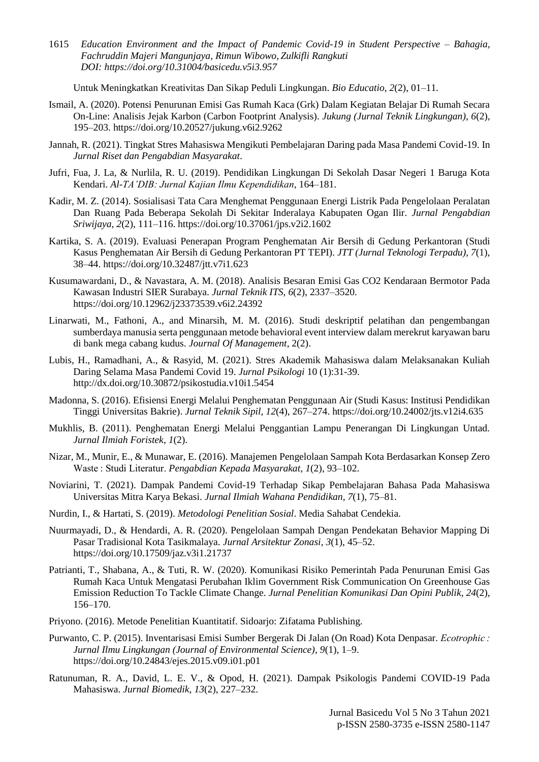Untuk Meningkatkan Kreativitas Dan Sikap Peduli Lingkungan. *Bio Educatio*, *2*(2), 01–11.

- Ismail, A. (2020). Potensi Penurunan Emisi Gas Rumah Kaca (Grk) Dalam Kegiatan Belajar Di Rumah Secara On-Line: Analisis Jejak Karbon (Carbon Footprint Analysis). *Jukung (Jurnal Teknik Lingkungan)*, *6*(2), 195–203. https://doi.org/10.20527/jukung.v6i2.9262
- Jannah, R. (2021). Tingkat Stres Mahasiswa Mengikuti Pembelajaran Daring pada Masa Pandemi Covid-19. In *Jurnal Riset dan Pengabdian Masyarakat*.
- Jufri, Fua, J. La, & Nurlila, R. U. (2019). Pendidikan Lingkungan Di Sekolah Dasar Negeri 1 Baruga Kota Kendari. *Al-TA'DIB: Jurnal Kajian Ilmu Kependidikan*, 164–181.
- Kadir, M. Z. (2014). Sosialisasi Tata Cara Menghemat Penggunaan Energi Listrik Pada Pengelolaan Peralatan Dan Ruang Pada Beberapa Sekolah Di Sekitar Inderalaya Kabupaten Ogan Ilir. *Jurnal Pengabdian Sriwijaya*, *2*(2), 111–116. https://doi.org/10.37061/jps.v2i2.1602
- Kartika, S. A. (2019). Evaluasi Penerapan Program Penghematan Air Bersih di Gedung Perkantoran (Studi Kasus Penghematan Air Bersih di Gedung Perkantoran PT TEPI). *JTT (Jurnal Teknologi Terpadu)*, *7*(1), 38–44. https://doi.org/10.32487/jtt.v7i1.623
- Kusumawardani, D., & Navastara, A. M. (2018). Analisis Besaran Emisi Gas CO2 Kendaraan Bermotor Pada Kawasan Industri SIER Surabaya. *Jurnal Teknik ITS*, *6*(2), 2337–3520. https://doi.org/10.12962/j23373539.v6i2.24392
- Linarwati, M., Fathoni, A., and Minarsih, M. M. (2016). Studi deskriptif pelatihan dan pengembangan sumberdaya manusia serta penggunaan metode behavioral event interview dalam merekrut karyawan baru di bank mega cabang kudus. *Journal Of Management*, 2(2).
- Lubis, H., Ramadhani, A., & Rasyid, M. (2021). Stres Akademik Mahasiswa dalam Melaksanakan Kuliah Daring Selama Masa Pandemi Covid 19. *Jurnal Psikologi* 10 (1):31-39. http://dx.doi.org/10.30872/psikostudia.v10i1.5454
- Madonna, S. (2016). Efisiensi Energi Melalui Penghematan Penggunaan Air (Studi Kasus: Institusi Pendidikan Tinggi Universitas Bakrie). *Jurnal Teknik Sipil*, *12*(4), 267–274. https://doi.org/10.24002/jts.v12i4.635
- Mukhlis, B. (2011). Penghematan Energi Melalui Penggantian Lampu Penerangan Di Lingkungan Untad. *Jurnal Ilmiah Foristek*, *1*(2).
- Nizar, M., Munir, E., & Munawar, E. (2016). Manajemen Pengelolaan Sampah Kota Berdasarkan Konsep Zero Waste : Studi Literatur. *Pengabdian Kepada Masyarakat*, *1*(2), 93–102.
- Noviarini, T. (2021). Dampak Pandemi Covid-19 Terhadap Sikap Pembelajaran Bahasa Pada Mahasiswa Universitas Mitra Karya Bekasi. *Jurnal Ilmiah Wahana Pendidikan*, *7*(1), 75–81.
- Nurdin, I., & Hartati, S. (2019). *Metodologi Penelitian Sosial*. Media Sahabat Cendekia.
- Nuurmayadi, D., & Hendardi, A. R. (2020). Pengelolaan Sampah Dengan Pendekatan Behavior Mapping Di Pasar Tradisional Kota Tasikmalaya. *Jurnal Arsitektur Zonasi*, *3*(1), 45–52. https://doi.org/10.17509/jaz.v3i1.21737
- Patrianti, T., Shabana, A., & Tuti, R. W. (2020). Komunikasi Risiko Pemerintah Pada Penurunan Emisi Gas Rumah Kaca Untuk Mengatasi Perubahan Iklim Government Risk Communication On Greenhouse Gas Emission Reduction To Tackle Climate Change. *Jurnal Penelitian Komunikasi Dan Opini Publik*, *24*(2), 156–170.
- Priyono. (2016). Metode Penelitian Kuantitatif. Sidoarjo: Zifatama Publishing.
- Purwanto, C. P. (2015). Inventarisasi Emisi Sumber Bergerak Di Jalan (On Road) Kota Denpasar. *Ecotrophic : Jurnal Ilmu Lingkungan (Journal of Environmental Science)*, *9*(1), 1–9. https://doi.org/10.24843/ejes.2015.v09.i01.p01
- Ratunuman, R. A., David, L. E. V., & Opod, H. (2021). Dampak Psikologis Pandemi COVID-19 Pada Mahasiswa. *Jurnal Biomedik*, *13*(2), 227–232.